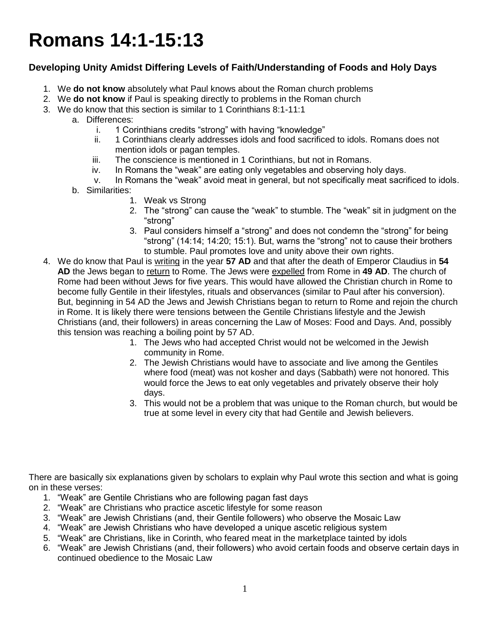## **Romans 14:1-15:13**

## **Developing Unity Amidst Differing Levels of Faith/Understanding of Foods and Holy Days**

- 1. We **do not know** absolutely what Paul knows about the Roman church problems
- 2. We **do not know** if Paul is speaking directly to problems in the Roman church
- 3. We do know that this section is similar to 1 Corinthians 8:1-11:1
	- a. Differences:
		- i. 1 Corinthians credits "strong" with having "knowledge"
		- ii. 1 Corinthians clearly addresses idols and food sacrificed to idols. Romans does not mention idols or pagan temples.
		- iii. The conscience is mentioned in 1 Corinthians, but not in Romans.
		- iv. In Romans the "weak" are eating only vegetables and observing holy days.
		- v. In Romans the "weak" avoid meat in general, but not specifically meat sacrificed to idols.
	- b. Similarities:
		- 1. Weak vs Strong
		- 2. The "strong" can cause the "weak" to stumble. The "weak" sit in judgment on the "strong"
		- 3. Paul considers himself a "strong" and does not condemn the "strong" for being "strong" (14:14; 14:20; 15:1). But, warns the "strong" not to cause their brothers to stumble. Paul promotes love and unity above their own rights.
- 4. We do know that Paul is writing in the year **57 AD** and that after the death of Emperor Claudius in **54**  AD the Jews began to return to Rome. The Jews were expelled from Rome in 49 AD. The church of Rome had been without Jews for five years. This would have allowed the Christian church in Rome to become fully Gentile in their lifestyles, rituals and observances (similar to Paul after his conversion). But, beginning in 54 AD the Jews and Jewish Christians began to return to Rome and rejoin the church in Rome. It is likely there were tensions between the Gentile Christians lifestyle and the Jewish Christians (and, their followers) in areas concerning the Law of Moses: Food and Days. And, possibly this tension was reaching a boiling point by 57 AD.
	- 1. The Jews who had accepted Christ would not be welcomed in the Jewish community in Rome.
	- 2. The Jewish Christians would have to associate and live among the Gentiles where food (meat) was not kosher and days (Sabbath) were not honored. This would force the Jews to eat only vegetables and privately observe their holy days.
	- 3. This would not be a problem that was unique to the Roman church, but would be true at some level in every city that had Gentile and Jewish believers.

There are basically six explanations given by scholars to explain why Paul wrote this section and what is going on in these verses:

- 1. "Weak" are Gentile Christians who are following pagan fast days
- 2. "Weak" are Christians who practice ascetic lifestyle for some reason
- 3. "Weak" are Jewish Christians (and, their Gentile followers) who observe the Mosaic Law
- 4. "Weak" are Jewish Christians who have developed a unique ascetic religious system
- 5. "Weak" are Christians, like in Corinth, who feared meat in the marketplace tainted by idols
- 6. "Weak" are Jewish Christians (and, their followers) who avoid certain foods and observe certain days in continued obedience to the Mosaic Law